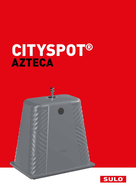# CITYSPOT® AZTECA

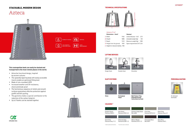#### STACKABLE, MODERN DESIGN

# Azteca



### DISABILITY ACCESS LEVEL MEASUREMENT VERTICAL  $\left( \begin{array}{c} 1 & 100 % \text{MADE OF} \ \text{RECYCLED LLDPE} \end{array} \right)$

- Attractive functional design, inspired by ancient cultures
- The upwardly tapering body with easily accessible inserts enable an optimized filling level
- Made of roto-moulded LDPE
- **Increased weather and UV-resistance,** shock and break-proof
- **The harmonious sequence of reliefs and smooth** surfaces guarantees effective protection against graffiti and bill-posting.
- **The geometry makes a special contribution to the** reduction of the carbon footprint.
- Up to 9 banks can be stacked together.





#### TECHNICAL SPECIFICATIONS

#### **This cosmopolitan bank can easily be stacked and transported to the most remote places in the world.**

| Dimensions $\sim$ [mm] <sup>*</sup> |      | Volumes*                                  |      |
|-------------------------------------|------|-------------------------------------------|------|
| A Width                             | 1940 | Useful Volumes ~ $[m^3]$ 2,75             |      |
| <b>B</b> Height                     | 1880 | Unloaded weight (kg)                      | 130  |
| C Depth                             | 1310 | Maximum weight (kg)                       | 1200 |
| D Height from the ground            | 1530 | Space requirements (m <sup>2</sup> ) 2,54 |      |
| E Height for reduced mobility 900   |      |                                           |      |



#### Azteca 3  $m<sup>3</sup>$

#### SLOT SYSTEMS

#### LIFTING DEVICES







Double Hook

**Paper**

Kinshofer

**Big Producer Flap**, **Extended Sorting Instructions (no lock)**

#### COLOURS\*\*

Single Hook

PERSONALISATION



On demand (example)

Pearl Grey Pantone Grey 6 C

Flint Grey Pantone Q710-3-2





Chocolate Brow RAL 8019

Navy Blue Pantone 296 C

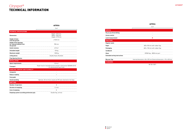

| <b>SERVICE</b>                       |                                                                     |
|--------------------------------------|---------------------------------------------------------------------|
| Pay as you throw billing             | $\overline{\phantom{a}}$                                            |
| <b>Access control</b>                | -                                                                   |
| Level measurement                    |                                                                     |
| <b>FRACTIONS</b>                     |                                                                     |
| <b>Regular waste</b>                 |                                                                     |
| Paper                                | 600 x150 mm with rubber flap                                        |
| Packaging                            | 600 x 150 mm with rubber flap                                       |
| Cardboard                            |                                                                     |
| Glass                                | EPDM flap - Ø200 mm port                                            |
| <b>Extended sorting instructions</b> | ۰.                                                                  |
| <b>Big user flap</b>                 | Internal dimensions: 426 x 355 mm External dimensions: 476 x 430 mm |

**STANDARDS**

NF EN 13071

## Cityspot® TECHNICAL INFORMATION

#### AZTECA

|                                                                          | 3 m <sup>3</sup>                                                                                    |  |  |
|--------------------------------------------------------------------------|-----------------------------------------------------------------------------------------------------|--|--|
| <b>TECHNICAL SPECIFICATIONS</b>                                          |                                                                                                     |  |  |
| <b>Dimensions</b>                                                        | Depth: 1310 mm,<br>Width: 1940 mm,<br>Height: 2170 mm                                               |  |  |
| <b>Height of holes</b><br>from the ground                                | $±1530$ mm                                                                                          |  |  |
| <b>Height of the openings</b><br>for reduced mobility from<br>the ground | 900 mm                                                                                              |  |  |
| <b>Useful volumes</b>                                                    | $2,75 \text{ m}^3$                                                                                  |  |  |
| <b>Unloaded weigth</b>                                                   | 130 kg                                                                                              |  |  |
| Maximum weigth                                                           | 1200 kg                                                                                             |  |  |
| <b>Lifting device</b>                                                    | Double Hook, Kinshofer                                                                              |  |  |
| <b>Flap Opening Volume</b>                                               |                                                                                                     |  |  |
| <b>INSTALLATION</b>                                                      |                                                                                                     |  |  |
| <b>Space requirements</b>                                                | $2.54 \text{ m}^2$                                                                                  |  |  |
| <b>Transport</b>                                                         | 10 per truck in mounted version and 54 in ckd version SEAVAN 40 HC<br>/ in ckd version 81 per truck |  |  |
| HANDLING, COMFORT AND FLEXIBILITY                                        |                                                                                                     |  |  |
| <b>Compactor</b>                                                         |                                                                                                     |  |  |
| <b>Reduce mobility</b>                                                   | ٠                                                                                                   |  |  |
| Foot pedal                                                               |                                                                                                     |  |  |
| Sound-proofing                                                           | Optional: 20 mm thick closed cell PE foam attached to the flaps                                     |  |  |
| <b>EMPTYING</b>                                                          |                                                                                                     |  |  |
| <b>Number of operators</b>                                               | ۰                                                                                                   |  |  |
| <b>Duration of emptying</b>                                              | $1-2$ min                                                                                           |  |  |
| Cost of emptying                                                         | €                                                                                                   |  |  |
| <b>Emptying system according prehension grip</b>                         | Double flap, vertical                                                                               |  |  |